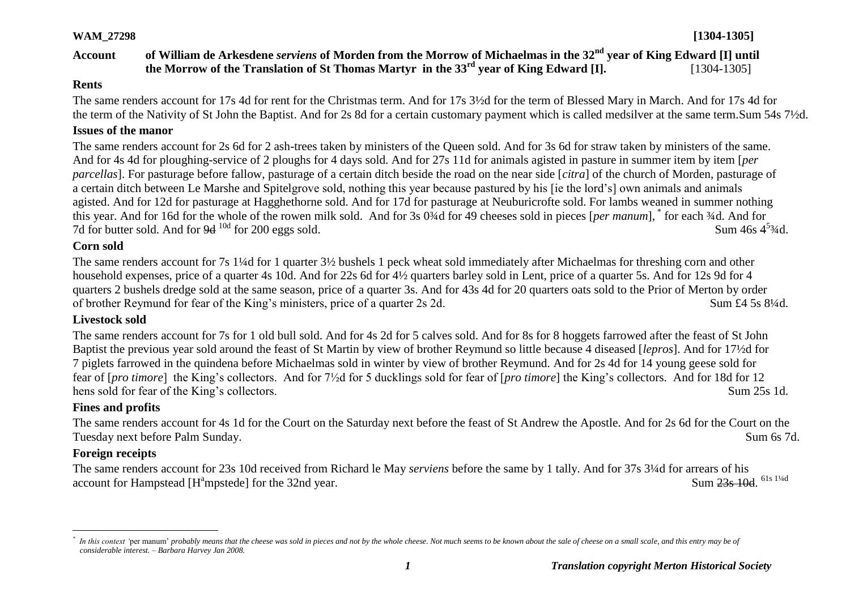## **WAM\_27298 [1304-1305]**

## **Account of William de Arkesdene** *serviens* **of Morden from the Morrow of Michaelmas in the 32nd year of King Edward [I] until the Morrow of the Translation of St Thomas Martyr in the 33rd year of King Edward [I].** [1304-1305]

#### **Rents**

The same renders account for 17s 4d for rent for the Christmas term. And for 17s 3½d for the term of Blessed Mary in March. And for 17s 4d for the term of the Nativity of St John the Baptist. And for 2s 8d for a certain customary payment which is called medsilver at the same term.Sum 54s 7½d.

#### **Issues of the manor**

The same renders account for 2s 6d for 2 ash-trees taken by ministers of the Queen sold. And for 3s 6d for straw taken by ministers of the same. And for 4s 4d for ploughing-service of 2 ploughs for 4 days sold. And for 27s 11d for animals agisted in pasture in summer item by item [*per parcellas*]. For pasturage before fallow, pasturage of a certain ditch beside the road on the near side [*citra*] of the church of Morden, pasturage of a certain ditch between Le Marshe and Spitelgrove sold, nothing this year because pastured by his [ie the lord's] own animals and animals agisted. And for 12d for pasturage at Hagghethorne sold. And for 17d for pasturage at Neuburicrofte sold. For lambs weaned in summer nothing this year. And for 16d for the whole of the rowen milk sold. And for 3s 0¾d for 49 cheeses sold in pieces [*per manum*], \* for each ¾d. And for 7d for butter sold. And for  $9d^{10d}$  for 200 eggs sold. Sum  $46s \frac{4^{5}3}{4}$ d.

## **Corn sold**

The same renders account for 7s 1¼d for 1 quarter 3½ bushels 1 peck wheat sold immediately after Michaelmas for threshing corn and other household expenses, price of a quarter 4s 10d. And for 22s 6d for 4½ quarters barley sold in Lent, price of a quarter 5s. And for 12s 9d for 4 quarters 2 bushels dredge sold at the same season, price of a quarter 3s. And for 43s 4d for 20 quarters oats sold to the Prior of Merton by order of brother Reymund for fear of the King's ministers, price of a quarter 2s 2d. Sum £4 5s 8¼d.

## **Livestock sold**

The same renders account for 7s for 1 old bull sold. And for 4s 2d for 5 calves sold. And for 8s for 8 hoggets farrowed after the feast of St John Baptist the previous year sold around the feast of St Martin by view of brother Reymund so little because 4 diseased [*lepros*]. And for 17½d for 7 piglets farrowed in the quindena before Michaelmas sold in winter by view of brother Reymund. And for 2s 4d for 14 young geese sold for fear of [*pro timore*] the King's collectors. And for 7½d for 5 ducklings sold for fear of [*pro timore*] the King's collectors. And for 18d for 12 hens sold for fear of the King's collectors. Sum 25s 1d.

## **Fines and profits**

The same renders account for 4s 1d for the Court on the Saturday next before the feast of St Andrew the Apostle. And for 2s 6d for the Court on the Tuesday next before Palm Sunday. Sum 6s 7d.

## **Foreign receipts**

 $\overline{a}$ 

The same renders account for 23s 10d received from Richard le May *serviens* before the same by 1 tally. And for 37s 3¼d for arrears of his account for Hampstead  $[H<sup>a</sup>$ mpstedel for the 32nd year. Sum 23s 10d 61s 11/4d

*<sup>\*</sup>* In this context 'per manum' *probably means that the cheese was sold in pieces and not by the whole cheese*. Not much seems to be known about the sale of cheese on a small scale, and this entry may be of *considerable interest. – Barbara Harvey Jan 2008.*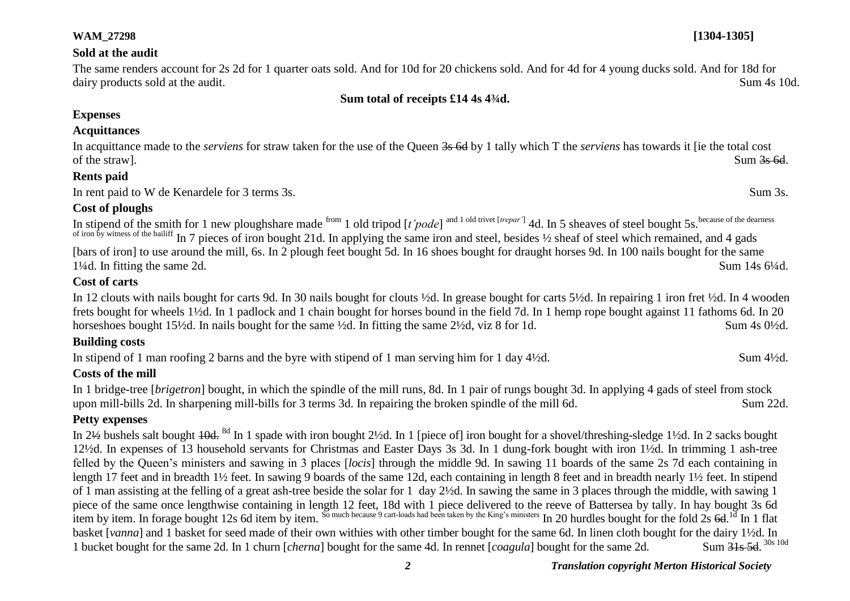#### **Sold at the audit**

The same renders account for 2s 2d for 1 quarter oats sold. And for 10d for 20 chickens sold. And for 4d for 4 young ducks sold. And for 18d for dairy products sold at the audit. Sum 4s 10d.

#### **Sum total of receipts £14 4s 4¾d.**

## **Expenses**

#### **Acquittances**

In acquittance made to the *serviens* for straw taken for the use of the Queen 3s 6d by 1 tally which T the *serviens* has towards it [ie the total cost of the straw]. Sum  $3s$  6d.

#### **Rents paid**

In rent paid to W de Kenardele for 3 terms 3s. Sum 3s.

## **Cost of ploughs**

In stipend of the smith for 1 new ploughshare made <sup>from</sup> 1 old tripod [*t'pode*] <sup>and 1 old trivet [*trepar'*] 4d. In 5 sheaves of steel bought 5s. because of the dearness</sup> of iron by witness of the bailiff In 7 pieces of iron bought 21d. In applying the same iron and steel, besides ½ sheaf of steel which remained, and 4 gads [bars of iron] to use around the mill, 6s. In 2 plough feet bought 5d. In 16 shoes bought for draught horses 9d. In 100 nails bought for the same 1<sup>1</sup>/4d. In fitting the same 2d. Sum 14s 6<sup>1</sup>/4d.

## **Cost of carts**

In 12 clouts with nails bought for carts 9d. In 30 nails bought for clouts ½d. In grease bought for carts 5½d. In repairing 1 iron fret ½d. In 4 wooden frets bought for wheels 1½d. In 1 padlock and 1 chain bought for horses bound in the field 7d. In 1 hemp rope bought against 11 fathoms 6d. In 20 horseshoes bought 15½d. In nails bought for the same ½d. In fitting the same 2½d, viz 8 for 1d. Sum 4s 0½d.

## **Building costs**

In stipend of 1 man roofing 2 barns and the byre with stipend of 1 man serving him for 1 day 4½d. Sum 4½d.

## **Costs of the mill**

In 1 bridge-tree [*brigetron*] bought, in which the spindle of the mill runs, 8d. In 1 pair of rungs bought 3d. In applying 4 gads of steel from stock upon mill-bills 2d. In sharpening mill-bills for 3 terms 3d. In repairing the broken spindle of the mill 6d. Sum 22d.

## **Petty expenses**

In 2½ bushels salt bought  $\frac{10d}{10d}$ . <sup>8d</sup> In 1 spade with iron bought 2½d. In 1 [piece of] iron bought for a shovel/threshing-sledge 1½d. In 2 sacks bought 12½d. In expenses of 13 household servants for Christmas and Easter Days 3s 3d. In 1 dung-fork bought with iron 1½d. In trimming 1 ash-tree felled by the Queen's ministers and sawing in 3 places [*locis*] through the middle 9d. In sawing 11 boards of the same 2s 7d each containing in length 17 feet and in breadth 1½ feet. In sawing 9 boards of the same 12d, each containing in length 8 feet and in breadth nearly 1½ feet. In stipend of 1 man assisting at the felling of a great ash-tree beside the solar for 1 day 2½d. In sawing the same in 3 places through the middle, with sawing 1 piece of the same once lengthwise containing in length 12 feet, 18d with 1 piece delivered to the reeve of Battersea by tally. In hay bought 3s 6d item by item. In forage bought 12s 6d item by item. So much because 9 cart-loads had been taken by the King's ministers In 20 hurdles bought for the fold 2s 6d.<sup>1d</sup> In 1 flat basket [*vanna*] and 1 basket for seed made of their own withies with other timber bought for the same 6d. In linen cloth bought for the dairy 1½d. In 1 bucket bought for the same 2d. In 1 churn *[cherna]* bought for the same 4d. In rennet *[coagula]* bought for the same 2d. Sum 31s 5d. 30s 10d

**WAM\_27298 [1304-1305]**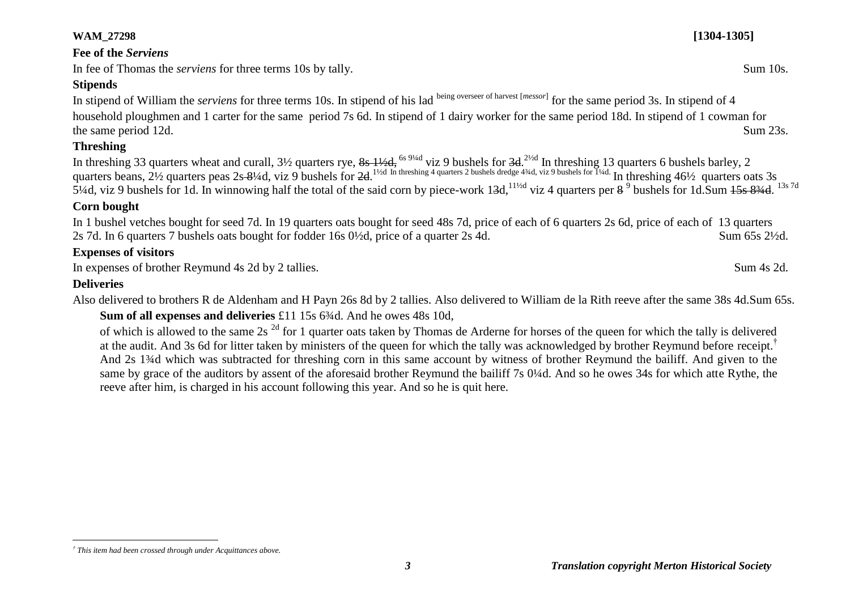# **WAM\_27298 [1304-1305]**

# **Fee of the** *Serviens*

In fee of Thomas the *serviens* for three terms 10s by tally. Sum 10s.

# **Stipends**

In stipend of William the *serviens* for three terms 10s. In stipend of his lad being overseer of harvest [*messor*] for the same period 3s. In stipend of 4 household ploughmen and 1 carter for the same period 7s 6d. In stipend of 1 dairy worker for the same period 18d. In stipend of 1 cowman for the same period 12d. Sum 23s.

# **Threshing**

In threshing 33 quarters wheat and curall, 3½ quarters rye, <del>8s 1½d,</del> <sup>6s 9¼d</sup> viz 9 bushels for <del>3d</del>.<sup>2½d</sup> In threshing 13 quarters 6 bushels barley, 2 quarters beans,  $2\frac{1}{2}$  quarters peas  $2s-8\frac{1}{4}d$ , viz 9 bushels for  $2d$ .<sup>1½d In threshing 4 quarters 2 bushels dredge 4¾d, viz 9 bushels for  $\frac{1}{4}d$ . In threshing 46½ quarters oats 3s</sup> 5¼d, viz 9 bushels for 1d. In winnowing half the total of the said corn by piece-work  $13d$ ,  $^{11/2d}$  viz 4 quarters per  $8^9$  bushels for 1d. Sum  $15s$   $83/4d$ .  $^{13s}$  7d

## **Corn bought**

In 1 bushel vetches bought for seed 7d. In 19 quarters oats bought for seed 48s 7d, price of each of 6 quarters 2s 6d, price of each of 13 quarters 2s 7d. In 6 quarters 7 bushels oats bought for fodder 16s 0½d, price of a quarter 2s 4d. Sum 65s 2½d.

# **Expenses of visitors**

In expenses of brother Reymund 4s 2d by 2 tallies. Sum 4s 2d.

# **Deliveries**

Also delivered to brothers R de Aldenham and H Payn 26s 8d by 2 tallies. Also delivered to William de la Rith reeve after the same 38s 4d.Sum 65s.

**Sum of all expenses and deliveries** £11 15s 6<sup>3</sup>/<sub>4</sub>d. And he owes 48s 10d,

of which is allowed to the same 2s<sup>2d</sup> for 1 quarter oats taken by Thomas de Arderne for horses of the queen for which the tally is delivered at the audit. And 3s 6d for litter taken by ministers of the queen for which the tally was acknowledged by brother Reymund before receipt.<sup>†</sup> And 2s 1¾d which was subtracted for threshing corn in this same account by witness of brother Reymund the bailiff. And given to the same by grace of the auditors by assent of the aforesaid brother Reymund the bailiff 7s 0¼d. And so he owes 34s for which atte Rythe, the reeve after him, is charged in his account following this year. And so he is quit here.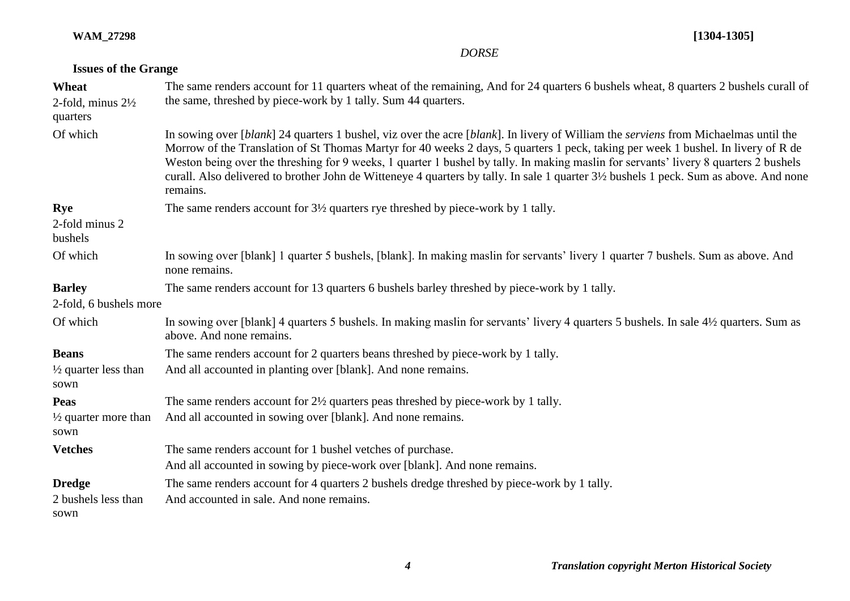**WAM\_27298 [1304-1305]**

|  |  |  | <b>Issues of the Grange</b> |
|--|--|--|-----------------------------|
|--|--|--|-----------------------------|

| Wheat<br>2-fold, minus $2\frac{1}{2}$<br>quarters | The same renders account for 11 quarters wheat of the remaining, And for 24 quarters 6 bushels wheat, 8 quarters 2 bushels curall of<br>the same, threshed by piece-work by 1 tally. Sum 44 quarters.                                                                                                                                                                                                                                                                                                                                                                |
|---------------------------------------------------|----------------------------------------------------------------------------------------------------------------------------------------------------------------------------------------------------------------------------------------------------------------------------------------------------------------------------------------------------------------------------------------------------------------------------------------------------------------------------------------------------------------------------------------------------------------------|
| Of which                                          | In sowing over [blank] 24 quarters 1 bushel, viz over the acre [blank]. In livery of William the serviens from Michaelmas until the<br>Morrow of the Translation of St Thomas Martyr for 40 weeks 2 days, 5 quarters 1 peck, taking per week 1 bushel. In livery of R de<br>Weston being over the threshing for 9 weeks, 1 quarter 1 bushel by tally. In making maslin for servants' livery 8 quarters 2 bushels<br>curall. Also delivered to brother John de Witteneye 4 quarters by tally. In sale 1 quarter 3½ bushels 1 peck. Sum as above. And none<br>remains. |
| Rye<br>2-fold minus 2<br>bushels                  | The same renders account for 3½ quarters rye threshed by piece-work by 1 tally.                                                                                                                                                                                                                                                                                                                                                                                                                                                                                      |
| Of which                                          | In sowing over [blank] 1 quarter 5 bushels, [blank]. In making maslin for servants' livery 1 quarter 7 bushels. Sum as above. And<br>none remains.                                                                                                                                                                                                                                                                                                                                                                                                                   |
| <b>Barley</b><br>2-fold, 6 bushels more           | The same renders account for 13 quarters 6 bushels barley threshed by piece-work by 1 tally.                                                                                                                                                                                                                                                                                                                                                                                                                                                                         |
| Of which                                          | In sowing over [blank] 4 quarters 5 bushels. In making maslin for servants' livery 4 quarters 5 bushels. In sale 4½ quarters. Sum as<br>above. And none remains.                                                                                                                                                                                                                                                                                                                                                                                                     |
| <b>Beans</b>                                      | The same renders account for 2 quarters beans threshed by piece-work by 1 tally.                                                                                                                                                                                                                                                                                                                                                                                                                                                                                     |
| $\frac{1}{2}$ quarter less than<br>sown           | And all accounted in planting over [blank]. And none remains.                                                                                                                                                                                                                                                                                                                                                                                                                                                                                                        |
| Peas                                              | The same renders account for $2\frac{1}{2}$ quarters peas threshed by piece-work by 1 tally.                                                                                                                                                                                                                                                                                                                                                                                                                                                                         |
| $\frac{1}{2}$ quarter more than<br>sown           | And all accounted in sowing over [blank]. And none remains.                                                                                                                                                                                                                                                                                                                                                                                                                                                                                                          |
| <b>Vetches</b>                                    | The same renders account for 1 bushel vetches of purchase.                                                                                                                                                                                                                                                                                                                                                                                                                                                                                                           |
|                                                   | And all accounted in sowing by piece-work over [blank]. And none remains.                                                                                                                                                                                                                                                                                                                                                                                                                                                                                            |
| <b>Dredge</b>                                     | The same renders account for 4 quarters 2 bushels dredge threshed by piece-work by 1 tally.                                                                                                                                                                                                                                                                                                                                                                                                                                                                          |
| 2 bushels less than                               | And accounted in sale. And none remains.                                                                                                                                                                                                                                                                                                                                                                                                                                                                                                                             |
| sown                                              |                                                                                                                                                                                                                                                                                                                                                                                                                                                                                                                                                                      |

*DORSE*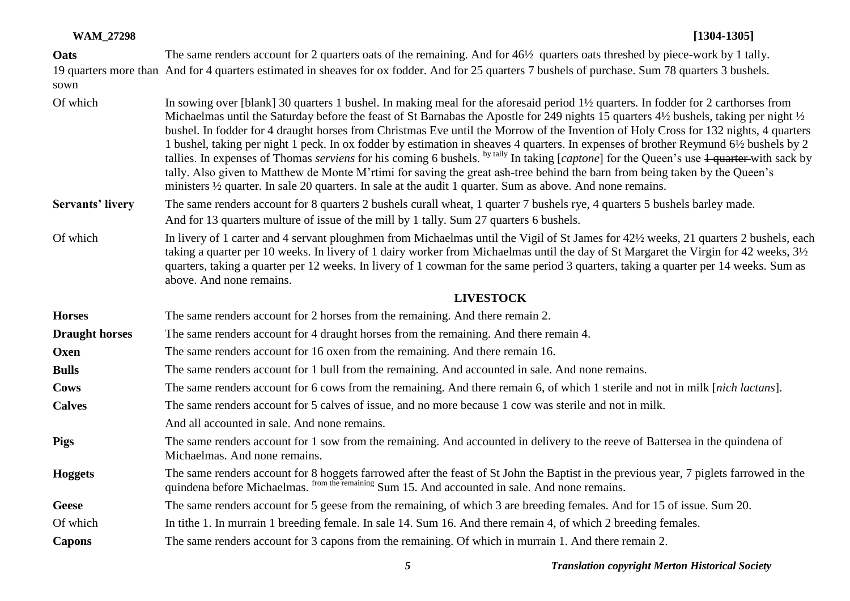| Oats                    | The same renders account for 2 quarters oats of the remaining. And for 46½ quarters oats threshed by piece-work by 1 tally.                                                                                                                                                                                                                                                                                                                                                                                                                                                                                                                                                                                                                                                                                                                                                                                                                                                              |
|-------------------------|------------------------------------------------------------------------------------------------------------------------------------------------------------------------------------------------------------------------------------------------------------------------------------------------------------------------------------------------------------------------------------------------------------------------------------------------------------------------------------------------------------------------------------------------------------------------------------------------------------------------------------------------------------------------------------------------------------------------------------------------------------------------------------------------------------------------------------------------------------------------------------------------------------------------------------------------------------------------------------------|
| sown                    | 19 quarters more than And for 4 quarters estimated in sheaves for ox fodder. And for 25 quarters 7 bushels of purchase. Sum 78 quarters 3 bushels.                                                                                                                                                                                                                                                                                                                                                                                                                                                                                                                                                                                                                                                                                                                                                                                                                                       |
| Of which                | In sowing over [blank] 30 quarters 1 bushel. In making meal for the aforesaid period 1 <sup>1</sup> / <sub>2</sub> quarters. In fodder for 2 carthorses from<br>Michaelmas until the Saturday before the feast of St Barnabas the Apostle for 249 nights 15 quarters 4½ bushels, taking per night ½<br>bushel. In fodder for 4 draught horses from Christmas Eve until the Morrow of the Invention of Holy Cross for 132 nights, 4 quarters<br>1 bushel, taking per night 1 peck. In ox fodder by estimation in sheaves 4 quarters. In expenses of brother Reymund 6½ bushels by 2<br>tallies. In expenses of Thomas serviens for his coming 6 bushels. <sup>by tally</sup> In taking [captone] for the Queen's use 4 quarter with sack by<br>tally. Also given to Matthew de Monte M'rtimi for saving the great ash-tree behind the barn from being taken by the Queen's<br>ministers 1/2 quarter. In sale 20 quarters. In sale at the audit 1 quarter. Sum as above. And none remains. |
| <b>Servants' livery</b> | The same renders account for 8 quarters 2 bushels curall wheat, 1 quarter 7 bushels rye, 4 quarters 5 bushels barley made.<br>And for 13 quarters multure of issue of the mill by 1 tally. Sum 27 quarters 6 bushels.                                                                                                                                                                                                                                                                                                                                                                                                                                                                                                                                                                                                                                                                                                                                                                    |
| Of which                | In livery of 1 carter and 4 servant ploughmen from Michaelmas until the Vigil of St James for 42½ weeks, 21 quarters 2 bushels, each<br>taking a quarter per 10 weeks. In livery of 1 dairy worker from Michaelmas until the day of St Margaret the Virgin for 42 weeks, 3½<br>quarters, taking a quarter per 12 weeks. In livery of 1 cowman for the same period 3 quarters, taking a quarter per 14 weeks. Sum as<br>above. And none remains.                                                                                                                                                                                                                                                                                                                                                                                                                                                                                                                                          |
|                         | <b>LIVESTOCK</b>                                                                                                                                                                                                                                                                                                                                                                                                                                                                                                                                                                                                                                                                                                                                                                                                                                                                                                                                                                         |
| <b>Horses</b>           | The same renders account for 2 horses from the remaining. And there remain 2.                                                                                                                                                                                                                                                                                                                                                                                                                                                                                                                                                                                                                                                                                                                                                                                                                                                                                                            |
| <b>Draught horses</b>   | The same renders account for 4 draught horses from the remaining. And there remain 4.                                                                                                                                                                                                                                                                                                                                                                                                                                                                                                                                                                                                                                                                                                                                                                                                                                                                                                    |
| Oxen                    | The same renders account for 16 oxen from the remaining. And there remain 16.                                                                                                                                                                                                                                                                                                                                                                                                                                                                                                                                                                                                                                                                                                                                                                                                                                                                                                            |
| <b>Bulls</b>            | The same renders account for 1 bull from the remaining. And accounted in sale. And none remains.                                                                                                                                                                                                                                                                                                                                                                                                                                                                                                                                                                                                                                                                                                                                                                                                                                                                                         |
| Cows                    | The same renders account for 6 cows from the remaining. And there remain 6, of which 1 sterile and not in milk [nich lactans].                                                                                                                                                                                                                                                                                                                                                                                                                                                                                                                                                                                                                                                                                                                                                                                                                                                           |
| <b>Calves</b>           | The same renders account for 5 calves of issue, and no more because 1 cow was sterile and not in milk.                                                                                                                                                                                                                                                                                                                                                                                                                                                                                                                                                                                                                                                                                                                                                                                                                                                                                   |
|                         | And all accounted in sale. And none remains.                                                                                                                                                                                                                                                                                                                                                                                                                                                                                                                                                                                                                                                                                                                                                                                                                                                                                                                                             |
| <b>Pigs</b>             | The same renders account for 1 sow from the remaining. And accounted in delivery to the reeve of Battersea in the quindena of<br>Michaelmas. And none remains.                                                                                                                                                                                                                                                                                                                                                                                                                                                                                                                                                                                                                                                                                                                                                                                                                           |
| <b>Hoggets</b>          | The same renders account for 8 hoggets farrowed after the feast of St John the Baptist in the previous year, 7 piglets farrowed in the quindena before Michaelmas. from the remaining Sum 15. And accounted in sale. And none                                                                                                                                                                                                                                                                                                                                                                                                                                                                                                                                                                                                                                                                                                                                                            |
| <b>Geese</b>            | The same renders account for 5 geese from the remaining, of which 3 are breeding females. And for 15 of issue. Sum 20.                                                                                                                                                                                                                                                                                                                                                                                                                                                                                                                                                                                                                                                                                                                                                                                                                                                                   |
| Of which                | In tithe 1. In murrain 1 breeding female. In sale 14. Sum 16. And there remain 4, of which 2 breeding females.                                                                                                                                                                                                                                                                                                                                                                                                                                                                                                                                                                                                                                                                                                                                                                                                                                                                           |
| <b>Capons</b>           | The same renders account for 3 capons from the remaining. Of which in murrain 1. And there remain 2.                                                                                                                                                                                                                                                                                                                                                                                                                                                                                                                                                                                                                                                                                                                                                                                                                                                                                     |